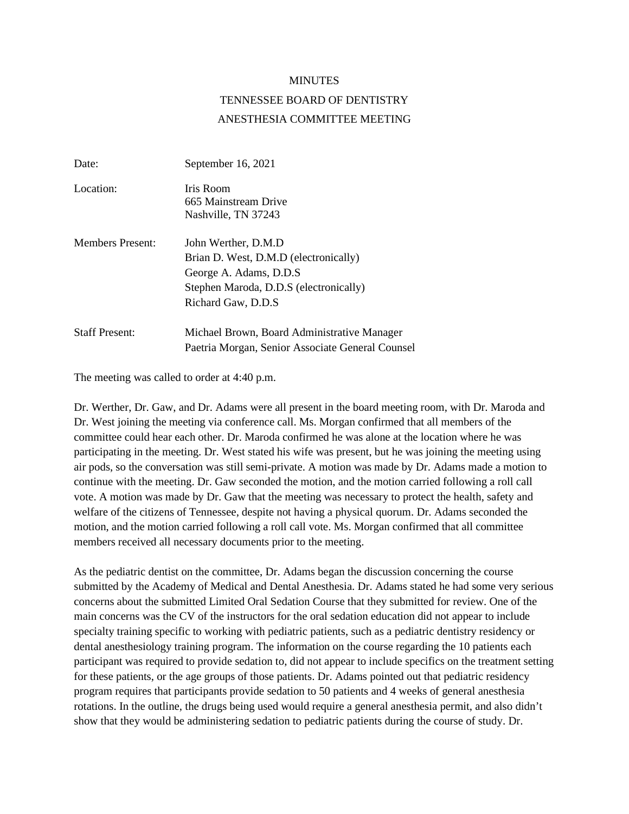## MINUTES

## TENNESSEE BOARD OF DENTISTRY ANESTHESIA COMMITTEE MEETING

| Date:                   | September 16, 2021                                                                                                                                       |
|-------------------------|----------------------------------------------------------------------------------------------------------------------------------------------------------|
| Location:               | Iris Room<br>665 Mainstream Drive<br>Nashville, TN 37243                                                                                                 |
| <b>Members Present:</b> | John Werther, D.M.D<br>Brian D. West, D.M.D (electronically)<br>George A. Adams, D.D.S.<br>Stephen Maroda, D.D.S (electronically)<br>Richard Gaw, D.D.S. |
| <b>Staff Present:</b>   | Michael Brown, Board Administrative Manager<br>Paetria Morgan, Senior Associate General Counsel                                                          |

The meeting was called to order at 4:40 p.m.

Dr. Werther, Dr. Gaw, and Dr. Adams were all present in the board meeting room, with Dr. Maroda and Dr. West joining the meeting via conference call. Ms. Morgan confirmed that all members of the committee could hear each other. Dr. Maroda confirmed he was alone at the location where he was participating in the meeting. Dr. West stated his wife was present, but he was joining the meeting using air pods, so the conversation was still semi-private. A motion was made by Dr. Adams made a motion to continue with the meeting. Dr. Gaw seconded the motion, and the motion carried following a roll call vote. A motion was made by Dr. Gaw that the meeting was necessary to protect the health, safety and welfare of the citizens of Tennessee, despite not having a physical quorum. Dr. Adams seconded the motion, and the motion carried following a roll call vote. Ms. Morgan confirmed that all committee members received all necessary documents prior to the meeting.

As the pediatric dentist on the committee, Dr. Adams began the discussion concerning the course submitted by the Academy of Medical and Dental Anesthesia. Dr. Adams stated he had some very serious concerns about the submitted Limited Oral Sedation Course that they submitted for review. One of the main concerns was the CV of the instructors for the oral sedation education did not appear to include specialty training specific to working with pediatric patients, such as a pediatric dentistry residency or dental anesthesiology training program. The information on the course regarding the 10 patients each participant was required to provide sedation to, did not appear to include specifics on the treatment setting for these patients, or the age groups of those patients. Dr. Adams pointed out that pediatric residency program requires that participants provide sedation to 50 patients and 4 weeks of general anesthesia rotations. In the outline, the drugs being used would require a general anesthesia permit, and also didn't show that they would be administering sedation to pediatric patients during the course of study. Dr.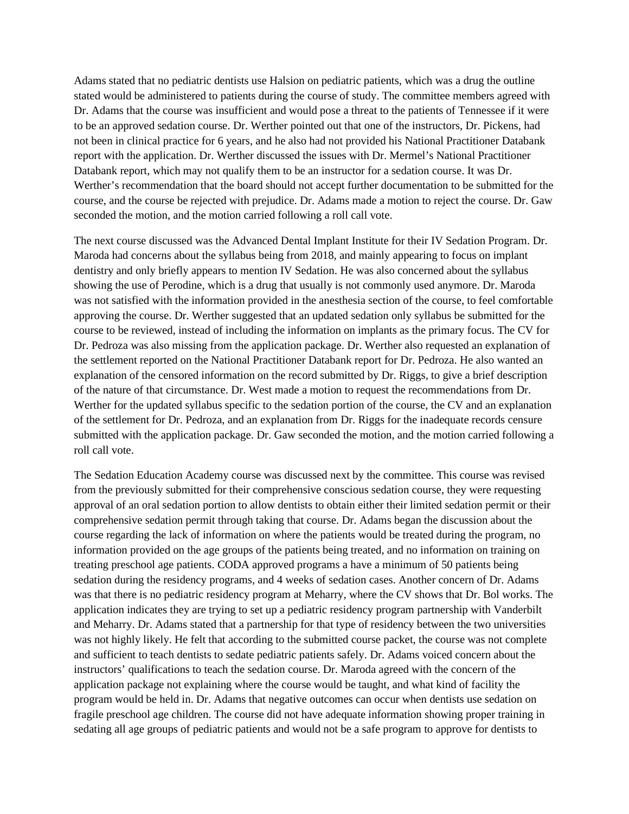Adams stated that no pediatric dentists use Halsion on pediatric patients, which was a drug the outline stated would be administered to patients during the course of study. The committee members agreed with Dr. Adams that the course was insufficient and would pose a threat to the patients of Tennessee if it were to be an approved sedation course. Dr. Werther pointed out that one of the instructors, Dr. Pickens, had not been in clinical practice for 6 years, and he also had not provided his National Practitioner Databank report with the application. Dr. Werther discussed the issues with Dr. Mermel's National Practitioner Databank report, which may not qualify them to be an instructor for a sedation course. It was Dr. Werther's recommendation that the board should not accept further documentation to be submitted for the course, and the course be rejected with prejudice. Dr. Adams made a motion to reject the course. Dr. Gaw seconded the motion, and the motion carried following a roll call vote.

The next course discussed was the Advanced Dental Implant Institute for their IV Sedation Program. Dr. Maroda had concerns about the syllabus being from 2018, and mainly appearing to focus on implant dentistry and only briefly appears to mention IV Sedation. He was also concerned about the syllabus showing the use of Perodine, which is a drug that usually is not commonly used anymore. Dr. Maroda was not satisfied with the information provided in the anesthesia section of the course, to feel comfortable approving the course. Dr. Werther suggested that an updated sedation only syllabus be submitted for the course to be reviewed, instead of including the information on implants as the primary focus. The CV for Dr. Pedroza was also missing from the application package. Dr. Werther also requested an explanation of the settlement reported on the National Practitioner Databank report for Dr. Pedroza. He also wanted an explanation of the censored information on the record submitted by Dr. Riggs, to give a brief description of the nature of that circumstance. Dr. West made a motion to request the recommendations from Dr. Werther for the updated syllabus specific to the sedation portion of the course, the CV and an explanation of the settlement for Dr. Pedroza, and an explanation from Dr. Riggs for the inadequate records censure submitted with the application package. Dr. Gaw seconded the motion, and the motion carried following a roll call vote.

The Sedation Education Academy course was discussed next by the committee. This course was revised from the previously submitted for their comprehensive conscious sedation course, they were requesting approval of an oral sedation portion to allow dentists to obtain either their limited sedation permit or their comprehensive sedation permit through taking that course. Dr. Adams began the discussion about the course regarding the lack of information on where the patients would be treated during the program, no information provided on the age groups of the patients being treated, and no information on training on treating preschool age patients. CODA approved programs a have a minimum of 50 patients being sedation during the residency programs, and 4 weeks of sedation cases. Another concern of Dr. Adams was that there is no pediatric residency program at Meharry, where the CV shows that Dr. Bol works. The application indicates they are trying to set up a pediatric residency program partnership with Vanderbilt and Meharry. Dr. Adams stated that a partnership for that type of residency between the two universities was not highly likely. He felt that according to the submitted course packet, the course was not complete and sufficient to teach dentists to sedate pediatric patients safely. Dr. Adams voiced concern about the instructors' qualifications to teach the sedation course. Dr. Maroda agreed with the concern of the application package not explaining where the course would be taught, and what kind of facility the program would be held in. Dr. Adams that negative outcomes can occur when dentists use sedation on fragile preschool age children. The course did not have adequate information showing proper training in sedating all age groups of pediatric patients and would not be a safe program to approve for dentists to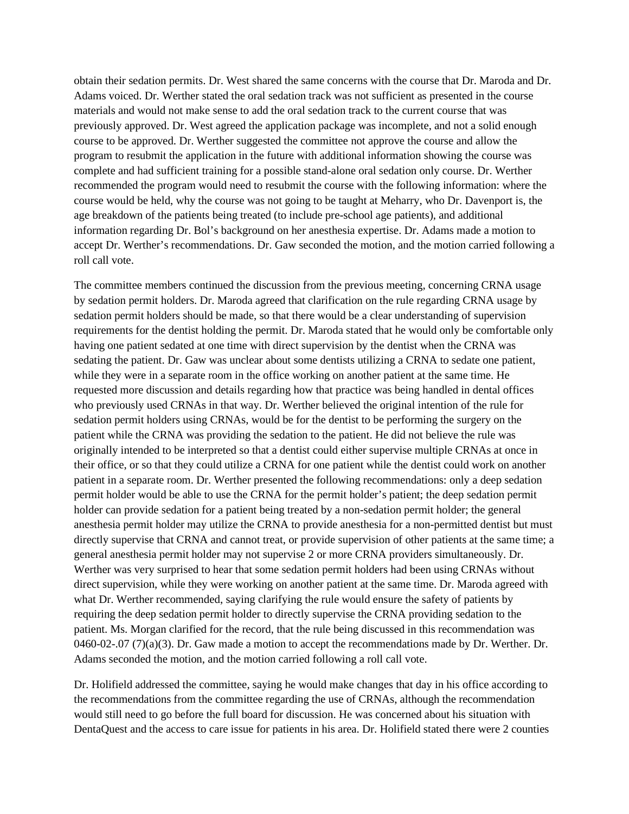obtain their sedation permits. Dr. West shared the same concerns with the course that Dr. Maroda and Dr. Adams voiced. Dr. Werther stated the oral sedation track was not sufficient as presented in the course materials and would not make sense to add the oral sedation track to the current course that was previously approved. Dr. West agreed the application package was incomplete, and not a solid enough course to be approved. Dr. Werther suggested the committee not approve the course and allow the program to resubmit the application in the future with additional information showing the course was complete and had sufficient training for a possible stand-alone oral sedation only course. Dr. Werther recommended the program would need to resubmit the course with the following information: where the course would be held, why the course was not going to be taught at Meharry, who Dr. Davenport is, the age breakdown of the patients being treated (to include pre-school age patients), and additional information regarding Dr. Bol's background on her anesthesia expertise. Dr. Adams made a motion to accept Dr. Werther's recommendations. Dr. Gaw seconded the motion, and the motion carried following a roll call vote.

The committee members continued the discussion from the previous meeting, concerning CRNA usage by sedation permit holders. Dr. Maroda agreed that clarification on the rule regarding CRNA usage by sedation permit holders should be made, so that there would be a clear understanding of supervision requirements for the dentist holding the permit. Dr. Maroda stated that he would only be comfortable only having one patient sedated at one time with direct supervision by the dentist when the CRNA was sedating the patient. Dr. Gaw was unclear about some dentists utilizing a CRNA to sedate one patient, while they were in a separate room in the office working on another patient at the same time. He requested more discussion and details regarding how that practice was being handled in dental offices who previously used CRNAs in that way. Dr. Werther believed the original intention of the rule for sedation permit holders using CRNAs, would be for the dentist to be performing the surgery on the patient while the CRNA was providing the sedation to the patient. He did not believe the rule was originally intended to be interpreted so that a dentist could either supervise multiple CRNAs at once in their office, or so that they could utilize a CRNA for one patient while the dentist could work on another patient in a separate room. Dr. Werther presented the following recommendations: only a deep sedation permit holder would be able to use the CRNA for the permit holder's patient; the deep sedation permit holder can provide sedation for a patient being treated by a non-sedation permit holder; the general anesthesia permit holder may utilize the CRNA to provide anesthesia for a non-permitted dentist but must directly supervise that CRNA and cannot treat, or provide supervision of other patients at the same time; a general anesthesia permit holder may not supervise 2 or more CRNA providers simultaneously. Dr. Werther was very surprised to hear that some sedation permit holders had been using CRNAs without direct supervision, while they were working on another patient at the same time. Dr. Maroda agreed with what Dr. Werther recommended, saying clarifying the rule would ensure the safety of patients by requiring the deep sedation permit holder to directly supervise the CRNA providing sedation to the patient. Ms. Morgan clarified for the record, that the rule being discussed in this recommendation was 0460-02-.07 (7)(a)(3). Dr. Gaw made a motion to accept the recommendations made by Dr. Werther. Dr. Adams seconded the motion, and the motion carried following a roll call vote.

Dr. Holifield addressed the committee, saying he would make changes that day in his office according to the recommendations from the committee regarding the use of CRNAs, although the recommendation would still need to go before the full board for discussion. He was concerned about his situation with DentaQuest and the access to care issue for patients in his area. Dr. Holifield stated there were 2 counties